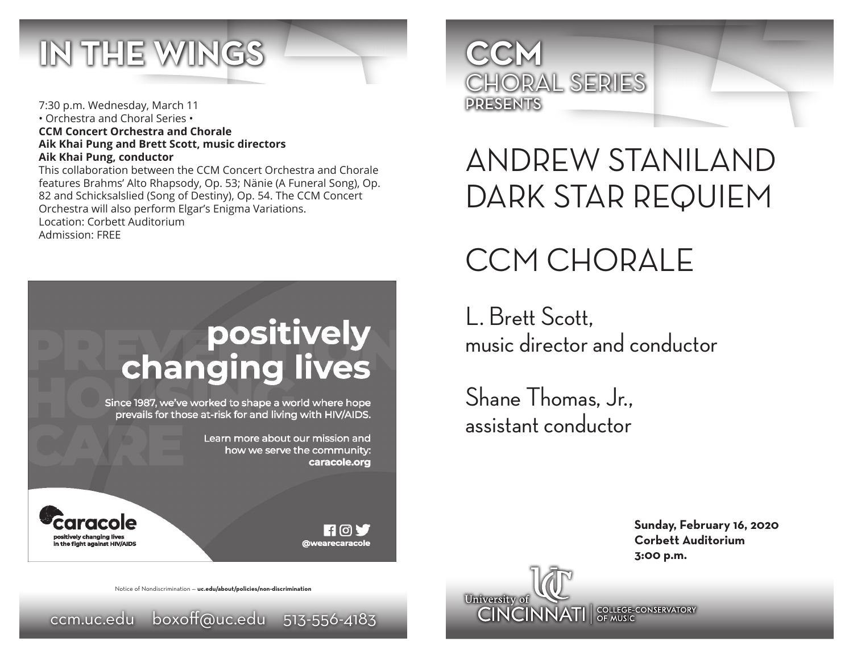

7:30 p.m. Wednesday, March 11 • Orchestra and Choral Series • **CCM Concert Orchestra and Chorale Aik Khai Pung and Brett Scott, music directors Aik Khai Pung, conductor**

This collaboration between the CCM Concert Orchestra and Chorale features Brahms' Alto Rhapsody, Op. 53; Nänie (A Funeral Song), Op. 82 and Schicksalslied (Song of Destiny), Op. 54. The CCM Concert Orchestra will also perform Elgar's Enigma Variations. Location: Corbett Auditorium Admission: FREE

# positively<br>changing lives

Since 1987, we've worked to shape a world where hope prevails for those at-risk for and living with HIV/AIDS.

> Learn more about our mission and how we serve the community: caracole.org



 $\blacksquare$  [0]  $\blacksquare$ **@wearecaracole** 





## ANDREW STANILAND DARK STAR REQUIEM

## CCM CHORALE

L. Brett Scott, music director and conductor

**CINCINNATI** SPLACE CONSERVATORY

Shane Thomas, Jr., assistant conductor

University of

**Sunday, February 16, 2020 Corbett Auditorium 3:00 p.m.**

Notice of Nondiscrimination — **uc.edu/about/policies/non-discrimination**

ccm.uc.edu boxoff@uc.edu 513-556-4183